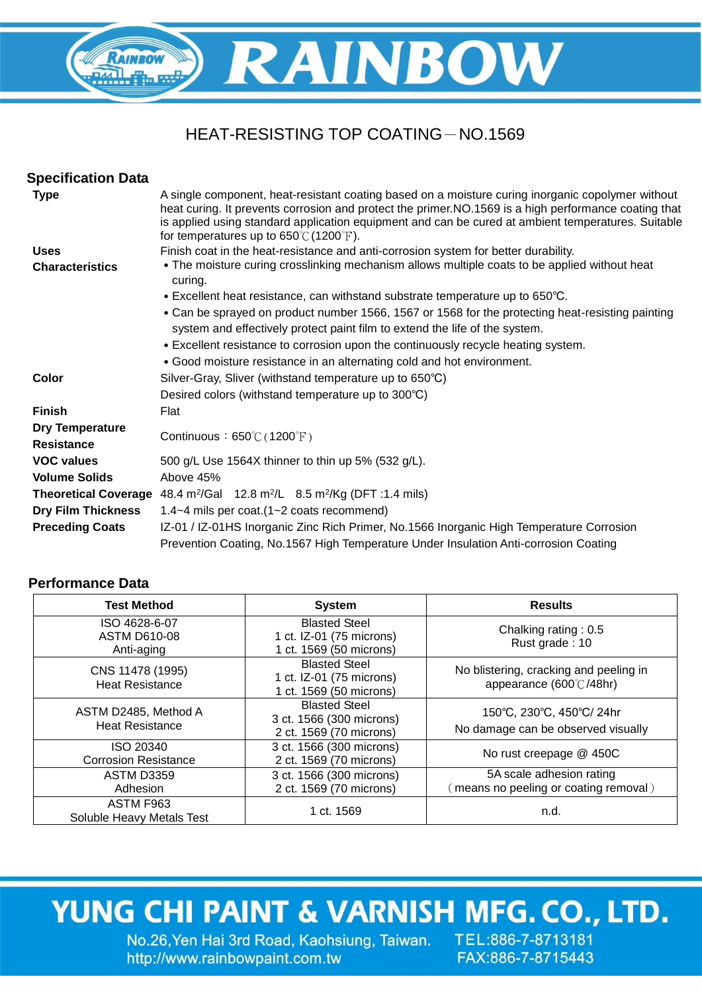### HEAT-RESISTING TOP COATING-NO.1569

**RAINBOW** 

| A single component, heat-resistant coating based on a moisture curing inorganic copolymer without<br>heat curing. It prevents corrosion and protect the primer. NO.1569 is a high performance coating that<br>is applied using standard application equipment and can be cured at ambient temperatures. Suitable<br>• The moisture curing crosslinking mechanism allows multiple coats to be applied without heat |
|-------------------------------------------------------------------------------------------------------------------------------------------------------------------------------------------------------------------------------------------------------------------------------------------------------------------------------------------------------------------------------------------------------------------|
|                                                                                                                                                                                                                                                                                                                                                                                                                   |
|                                                                                                                                                                                                                                                                                                                                                                                                                   |
|                                                                                                                                                                                                                                                                                                                                                                                                                   |
|                                                                                                                                                                                                                                                                                                                                                                                                                   |
|                                                                                                                                                                                                                                                                                                                                                                                                                   |
| • Can be sprayed on product number 1566, 1567 or 1568 for the protecting heat-resisting painting                                                                                                                                                                                                                                                                                                                  |
|                                                                                                                                                                                                                                                                                                                                                                                                                   |
|                                                                                                                                                                                                                                                                                                                                                                                                                   |
|                                                                                                                                                                                                                                                                                                                                                                                                                   |
|                                                                                                                                                                                                                                                                                                                                                                                                                   |
|                                                                                                                                                                                                                                                                                                                                                                                                                   |
|                                                                                                                                                                                                                                                                                                                                                                                                                   |
|                                                                                                                                                                                                                                                                                                                                                                                                                   |
|                                                                                                                                                                                                                                                                                                                                                                                                                   |
|                                                                                                                                                                                                                                                                                                                                                                                                                   |
|                                                                                                                                                                                                                                                                                                                                                                                                                   |
|                                                                                                                                                                                                                                                                                                                                                                                                                   |
|                                                                                                                                                                                                                                                                                                                                                                                                                   |
| IZ-01 / IZ-01HS Inorganic Zinc Rich Primer, No.1566 Inorganic High Temperature Corrosion                                                                                                                                                                                                                                                                                                                          |
|                                                                                                                                                                                                                                                                                                                                                                                                                   |
|                                                                                                                                                                                                                                                                                                                                                                                                                   |

### **Performance Data**

RAINBOW

| <b>Test Method</b>                                 | <b>System</b>                                                               | <b>Results</b>                                                    |  |
|----------------------------------------------------|-----------------------------------------------------------------------------|-------------------------------------------------------------------|--|
| ISO 4628-6-07<br><b>ASTM D610-08</b><br>Anti-aging | <b>Blasted Steel</b><br>1 ct. IZ-01 (75 microns)<br>1 ct. 1569 (50 microns) | Chalking rating: 0.5<br>Rust grade: 10                            |  |
| CNS 11478 (1995)<br><b>Heat Resistance</b>         | <b>Blasted Steel</b><br>1 ct. IZ-01 (75 microns)<br>1 ct. 1569 (50 microns) | No blistering, cracking and peeling in<br>appearance (600℃/48hr)  |  |
| ASTM D2485, Method A<br><b>Heat Resistance</b>     | <b>Blasted Steel</b><br>3 ct. 1566 (300 microns)<br>2 ct. 1569 (70 microns) | 150°C, 230°C, 450°C/ 24hr<br>No damage can be observed visually   |  |
| ISO 20340<br><b>Corrosion Resistance</b>           | 3 ct. 1566 (300 microns)<br>2 ct. 1569 (70 microns)                         | No rust creepage @ 450C                                           |  |
| <b>ASTM D3359</b><br>Adhesion                      | 3 ct. 1566 (300 microns)<br>2 ct. 1569 (70 microns)                         | 5A scale adhesion rating<br>(means no peeling or coating removal) |  |
| ASTM F963<br>Soluble Heavy Metals Test             | 1 ct. 1569                                                                  | n.d.                                                              |  |

# YUNG CHI PAINT & VARNISH MFG. CO., LTD.

No.26, Yen Hai 3rd Road, Kaohsiung, Taiwan. TEL:886-7-8713181 http://www.rainbowpaint.com.tw

FAX:886-7-8715443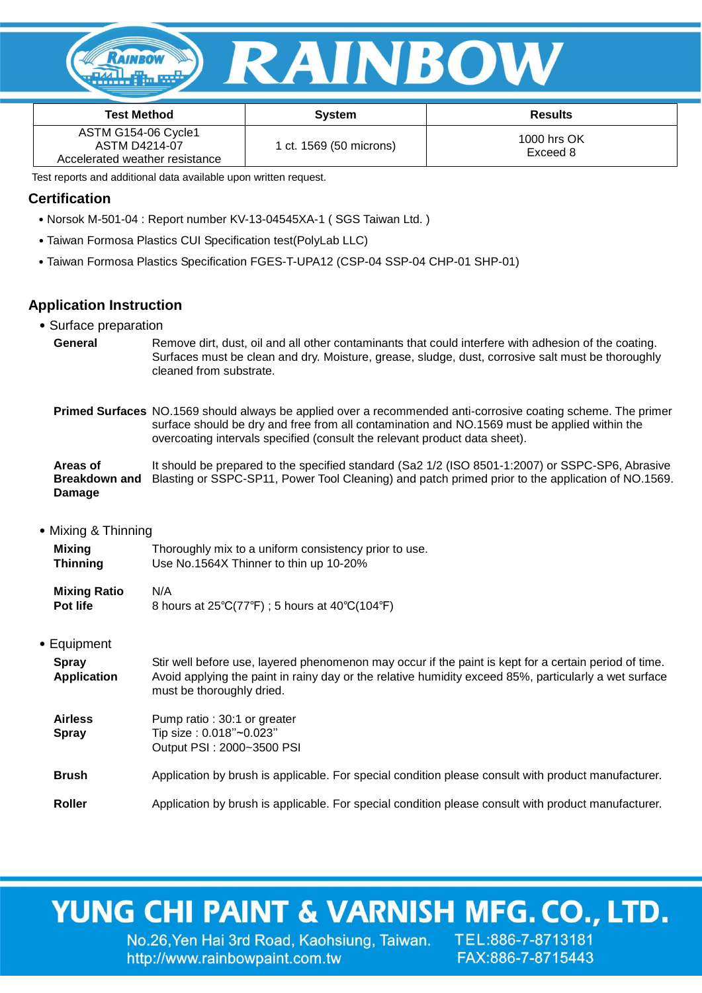

| <b>Test Method</b>                                                     | <b>System</b>           | <b>Results</b>          |
|------------------------------------------------------------------------|-------------------------|-------------------------|
| ASTM G154-06 Cycle1<br>ASTM D4214-07<br>Accelerated weather resistance | 1 ct. 1569 (50 microns) | 1000 hrs OK<br>Exceed 8 |

Test reports and additional data available upon written request.

### **Certification**

- ˙Norsok M-501-04 : Report number KV-13-04545XA-1 ( SGS Taiwan Ltd. )
- ˙Taiwan Formosa Plastics CUI Specification test(PolyLab LLC)
- ˙Taiwan Formosa Plastics Specification FGES-T-UPA12 (CSP-04 SSP-04 CHP-01 SHP-01)

#### **Application Instruction**

- ˙Surface preparation
	- **General** Remove dirt, dust, oil and all other contaminants that could interfere with adhesion of the coating. Surfaces must be clean and dry. Moisture, grease, sludge, dust, corrosive salt must be thoroughly cleaned from substrate.
	- **Primed Surfaces** NO.1569 should always be applied over a recommended anti-corrosive coating scheme. The primer surface should be dry and free from all contamination and NO.1569 must be applied within the overcoating intervals specified (consult the relevant product data sheet).

#### **Areas of Breakdown and**  Blasting or SSPC-SP11, Power Tool Cleaning) and patch primed prior to the application of NO.1569. **Damage** It should be prepared to the specified standard (Sa2 1/2 (ISO 8501-1:2007) or SSPC-SP6, Abrasive

˙Mixing & Thinning

| Mixing          | Thoroughly mix to a uniform consistency prior to use. |
|-----------------|-------------------------------------------------------|
| <b>Thinning</b> | Use No.1564X Thinner to thin up 10-20%                |

| <b>Mixing Ratio</b> | N/A                                                                            |
|---------------------|--------------------------------------------------------------------------------|
| <b>Pot life</b>     | 8 hours at $25^{\circ}C(77^{\circ}F)$ ; 5 hours at $40^{\circ}C(104^{\circ}F)$ |

˙Equipment

| <b>Spray</b><br><b>Application</b> | Stir well before use, layered phenomenon may occur if the paint is kept for a certain period of time.<br>Avoid applying the paint in rainy day or the relative humidity exceed 85%, particularly a wet surface<br>must be thoroughly dried. |
|------------------------------------|---------------------------------------------------------------------------------------------------------------------------------------------------------------------------------------------------------------------------------------------|
| <b>Airless</b><br><b>Spray</b>     | Pump ratio: 30:1 or greater<br>Tip size: 0.018"~0.023"<br>Output PSI: 2000~3500 PSI                                                                                                                                                         |
| <b>Brush</b>                       | Application by brush is applicable. For special condition please consult with product manufacturer.                                                                                                                                         |
| <b>Roller</b>                      | Application by brush is applicable. For special condition please consult with product manufacturer.                                                                                                                                         |

### YUNG CHI PAINT & VARNISH MFG. CO., LTD.

No.26, Yen Hai 3rd Road, Kaohsiung, Taiwan. TEL:886-7-8713181 http://www.rainbowpaint.com.tw

FAX:886-7-8715443